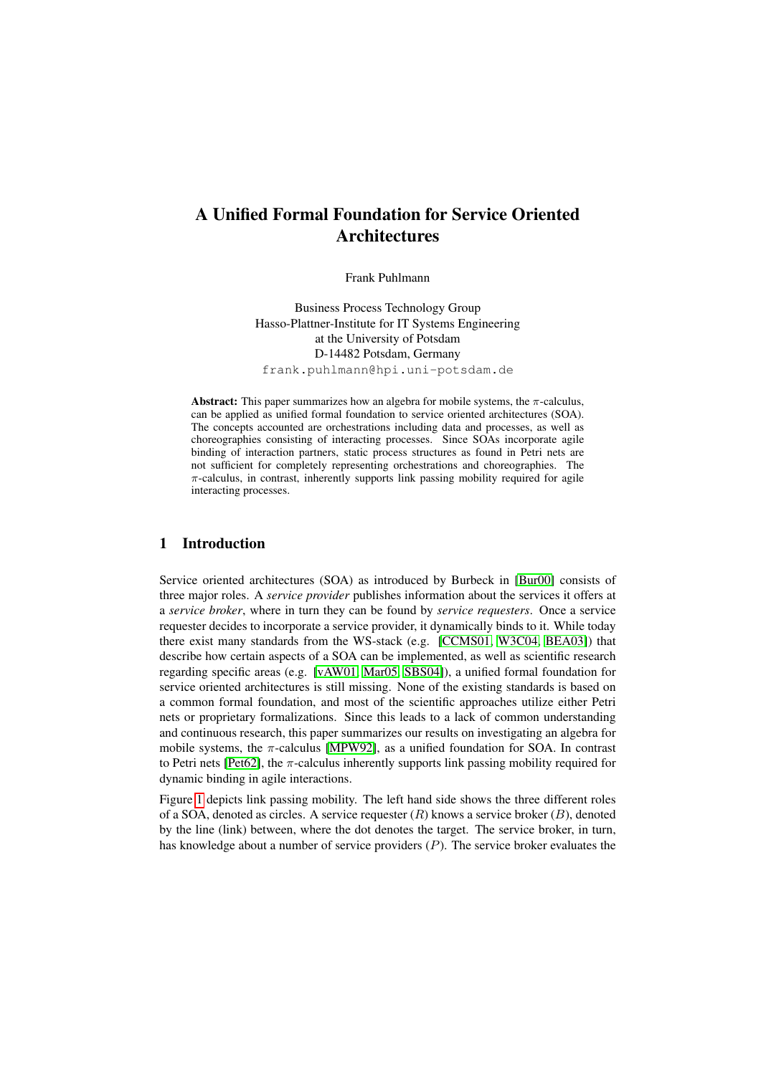# A Unified Formal Foundation for Service Oriented **Architectures**

Frank Puhlmann

Business Process Technology Group Hasso-Plattner-Institute for IT Systems Engineering at the University of Potsdam D-14482 Potsdam, Germany frank.puhlmann@hpi.uni-potsdam.de

Abstract: This paper summarizes how an algebra for mobile systems, the  $\pi$ -calculus, can be applied as unified formal foundation to service oriented architectures (SOA). The concepts accounted are orchestrations including data and processes, as well as choreographies consisting of interacting processes. Since SOAs incorporate agile binding of interaction partners, static process structures as found in Petri nets are not sufficient for completely representing orchestrations and choreographies. The  $\pi$ -calculus, in contrast, inherently supports link passing mobility required for agile interacting processes.

## 1 Introduction

Service oriented architectures (SOA) as introduced by Burbeck in [\[Bur00\]](#page-10-0) consists of three major roles. A *service provider* publishes information about the services it offers at a *service broker*, where in turn they can be found by *service requesters*. Once a service requester decides to incorporate a service provider, it dynamically binds to it. While today there exist many standards from the WS-stack (e.g. [\[CCMS01,](#page-11-0) [W3C04,](#page-12-0) [BEA03\]](#page-10-1)) that describe how certain aspects of a SOA can be implemented, as well as scientific research regarding specific areas (e.g. [\[vAW01,](#page-12-1) [Mar05,](#page-11-1) [SBS04\]](#page-11-2)), a unified formal foundation for service oriented architectures is still missing. None of the existing standards is based on a common formal foundation, and most of the scientific approaches utilize either Petri nets or proprietary formalizations. Since this leads to a lack of common understanding and continuous research, this paper summarizes our results on investigating an algebra for mobile systems, the  $\pi$ -calculus [\[MPW92\]](#page-11-3), as a unified foundation for SOA. In contrast to Petri nets [\[Pet62\]](#page-11-4), the  $\pi$ -calculus inherently supports link passing mobility required for dynamic binding in agile interactions.

Figure [1](#page-1-0) depicts link passing mobility. The left hand side shows the three different roles of a SOA, denoted as circles. A service requester  $(R)$  knows a service broker  $(B)$ , denoted by the line (link) between, where the dot denotes the target. The service broker, in turn, has knowledge about a number of service providers (P). The service broker evaluates the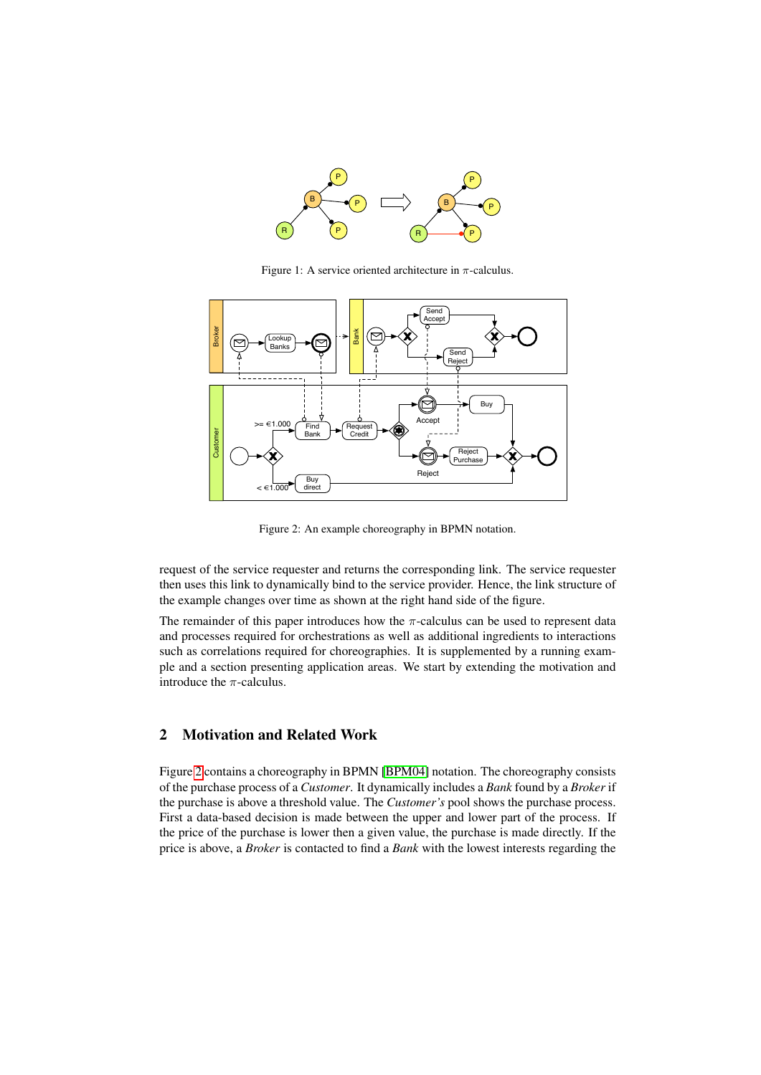

<span id="page-1-0"></span>Figure 1: A service oriented architecture in  $\pi$ -calculus.



<span id="page-1-1"></span>Figure 2: An example choreography in BPMN notation.

request of the service requester and returns the corresponding link. The service requester then uses this link to dynamically bind to the service provider. Hence, the link structure of the example changes over time as shown at the right hand side of the figure.

The remainder of this paper introduces how the  $\pi$ -calculus can be used to represent data and processes required for orchestrations as well as additional ingredients to interactions such as correlations required for choreographies. It is supplemented by a running example and a section presenting application areas. We start by extending the motivation and introduce the  $\pi$ -calculus.

# 2 Motivation and Related Work

Figure [2](#page-1-1) contains a choreography in BPMN [\[BPM04\]](#page-10-2) notation. The choreography consists of the purchase process of a *Customer*. It dynamically includes a *Bank* found by a *Broker* if the purchase is above a threshold value. The *Customer's* pool shows the purchase process. First a data-based decision is made between the upper and lower part of the process. If the price of the purchase is lower then a given value, the purchase is made directly. If the price is above, a *Broker* is contacted to find a *Bank* with the lowest interests regarding the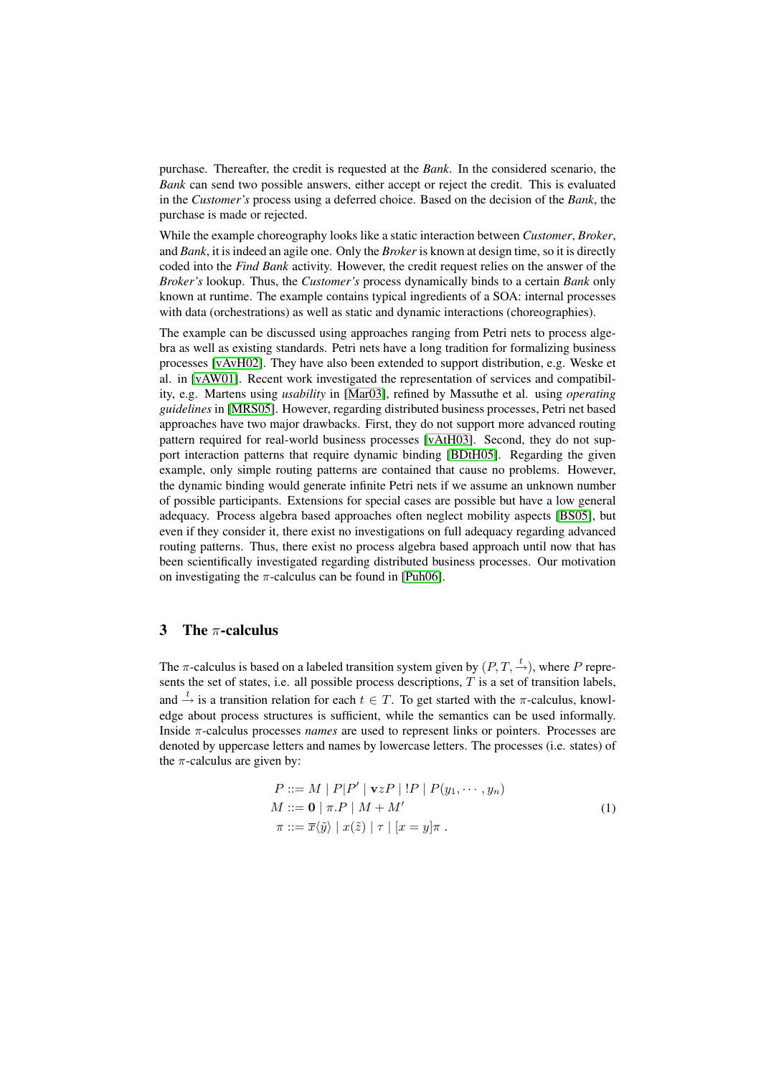purchase. Thereafter, the credit is requested at the *Bank*. In the considered scenario, the *Bank* can send two possible answers, either accept or reject the credit. This is evaluated in the *Customer's* process using a deferred choice. Based on the decision of the *Bank*, the purchase is made or rejected.

While the example choreography looks like a static interaction between *Customer*, *Broker*, and *Bank*, it is indeed an agile one. Only the *Broker* is known at design time, so it is directly coded into the *Find Bank* activity. However, the credit request relies on the answer of the *Broker's* lookup. Thus, the *Customer's* process dynamically binds to a certain *Bank* only known at runtime. The example contains typical ingredients of a SOA: internal processes with data (orchestrations) as well as static and dynamic interactions (choreographies).

The example can be discussed using approaches ranging from Petri nets to process algebra as well as existing standards. Petri nets have a long tradition for formalizing business processes [\[vAvH02\]](#page-12-2). They have also been extended to support distribution, e.g. Weske et al. in [\[vAW01\]](#page-12-1). Recent work investigated the representation of services and compatibility, e.g. Martens using *usability* in [\[Mar03\]](#page-11-5), refined by Massuthe et al. using *operating guidelines* in [\[MRS05\]](#page-11-6). However, regarding distributed business processes, Petri net based approaches have two major drawbacks. First, they do not support more advanced routing pattern required for real-world business processes [\[vAtH03\]](#page-12-3). Second, they do not support interaction patterns that require dynamic binding [\[BDtH05\]](#page-10-3). Regarding the given example, only simple routing patterns are contained that cause no problems. However, the dynamic binding would generate infinite Petri nets if we assume an unknown number of possible participants. Extensions for special cases are possible but have a low general adequacy. Process algebra based approaches often neglect mobility aspects [\[BS05\]](#page-10-4), but even if they consider it, there exist no investigations on full adequacy regarding advanced routing patterns. Thus, there exist no process algebra based approach until now that has been scientifically investigated regarding distributed business processes. Our motivation on investigating the  $\pi$ -calculus can be found in [\[Puh06\]](#page-11-7).

## 3 The  $\pi$ -calculus

The  $\pi$ -calculus is based on a labeled transition system given by  $(P, T, \stackrel{t}{\rightarrow})$ , where P represents the set of states, i.e. all possible process descriptions,  $T$  is a set of transition labels, and  $\stackrel{t}{\rightarrow}$  is a transition relation for each  $t \in T$ . To get started with the  $\pi$ -calculus, knowledge about process structures is sufficient, while the semantics can be used informally. Inside π-calculus processes *names* are used to represent links or pointers. Processes are denoted by uppercase letters and names by lowercase letters. The processes (i.e. states) of the  $\pi$ -calculus are given by:

<span id="page-2-0"></span>
$$
P ::= M | P|P' | vzP | !P | P(y_1, \cdots, y_n)
$$
  
\n
$$
M ::= \mathbf{0} | \pi.P | M + M'
$$
  
\n
$$
\pi ::= \overline{x}\langle \tilde{y} \rangle | x(\tilde{z}) | \tau | [x = y] \pi .
$$
\n(1)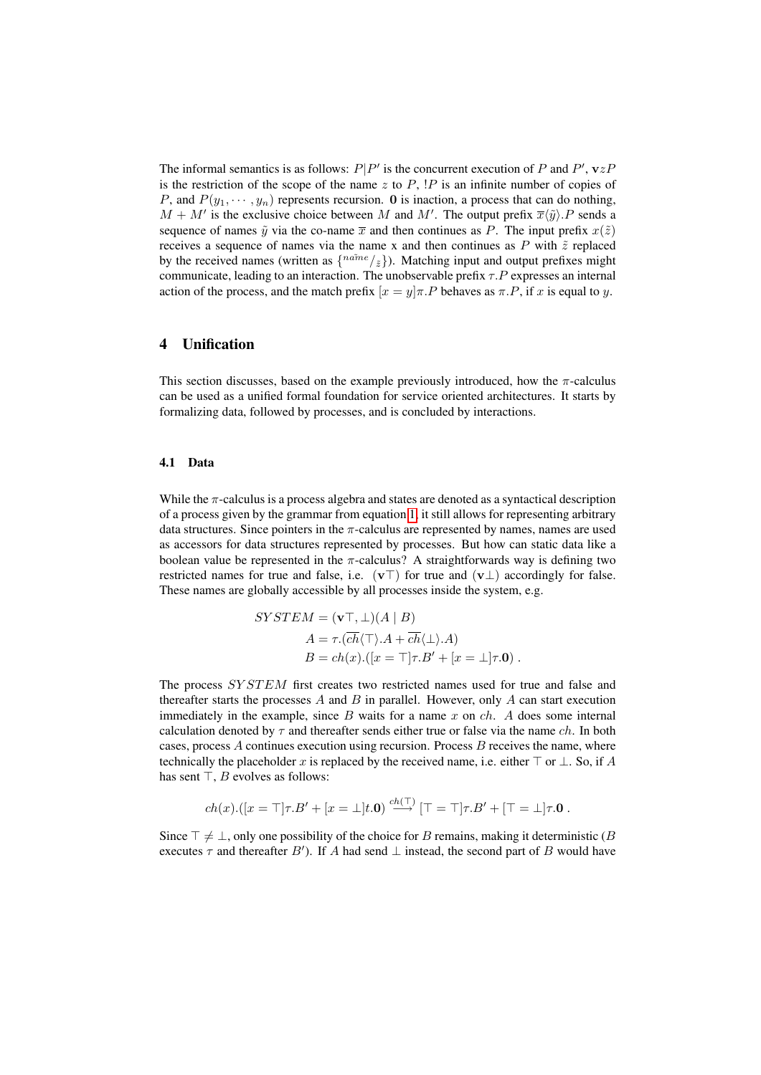The informal semantics is as follows:  $P|P'$  is the concurrent execution of P and P',  $vzP$ is the restriction of the scope of the name z to  $P$ ,  $\overline{P}$  is an infinite number of copies of P, and  $P(y_1, \dots, y_n)$  represents recursion. 0 is inaction, a process that can do nothing,  $M + M'$  is the exclusive choice between M and M'. The output prefix  $\overline{x}\langle \tilde{y} \rangle$ . P sends a sequence of names  $\tilde{y}$  via the co-name  $\bar{x}$  and then continues as P. The input prefix  $x(\tilde{z})$ receives a sequence of names via the name x and then continues as  $P$  with  $\tilde{z}$  replaced by the received names (written as  $\{n\tilde{\omega}e/\tilde{z}\}\$ ). Matching input and output prefixes might communicate, leading to an interaction. The unobservable prefix  $\tau.P$  expresses an internal action of the process, and the match prefix  $[x = y]\pi.P$  behaves as  $\pi.P$ , if x is equal to y.

## 4 Unification

This section discusses, based on the example previously introduced, how the  $\pi$ -calculus can be used as a unified formal foundation for service oriented architectures. It starts by formalizing data, followed by processes, and is concluded by interactions.

#### 4.1 Data

While the  $\pi$ -calculus is a process algebra and states are denoted as a syntactical description of a process given by the grammar from equation [1,](#page-2-0) it still allows for representing arbitrary data structures. Since pointers in the  $\pi$ -calculus are represented by names, names are used as accessors for data structures represented by processes. But how can static data like a boolean value be represented in the  $\pi$ -calculus? A straightforwards way is defining two restricted names for true and false, i.e.  $(v\top)$  for true and  $(v\bot)$  accordingly for false. These names are globally accessible by all processes inside the system, e.g.

$$
SYSTEM = (\mathbf{v}^{\top}, \bot)(A \mid B)
$$
  
\n
$$
A = \tau.(\overline{ch}\langle \top \rangle.A + \overline{ch}\langle \bot \rangle.A)
$$
  
\n
$$
B = ch(x).([x = \top]\tau.B' + [x = \bot]\tau.\mathbf{0}).
$$

The process SYSTEM first creates two restricted names used for true and false and thereafter starts the processes A and B in parallel. However, only A can start execution immediately in the example, since B waits for a name x on  $ch$ . A does some internal calculation denoted by  $\tau$  and thereafter sends either true or false via the name *ch*. In both cases, process  $A$  continues execution using recursion. Process  $B$  receives the name, where technically the placeholder x is replaced by the received name, i.e. either  $\top$  or  $\bot$ . So, if A has sent  $\top$ , *B* evolves as follows:

$$
ch(x).([x = \top]\tau.B' + [x = \bot]t.0) \stackrel{ch(\top)}{\longrightarrow} [\top = \top]\tau.B' + [\top = \bot]\tau.0.
$$

 $\epsilon$ 

Since  $\top \neq \bot$ , only one possibility of the choice for B remains, making it deterministic (B) executes  $\tau$  and thereafter B'). If A had send  $\bot$  instead, the second part of B would have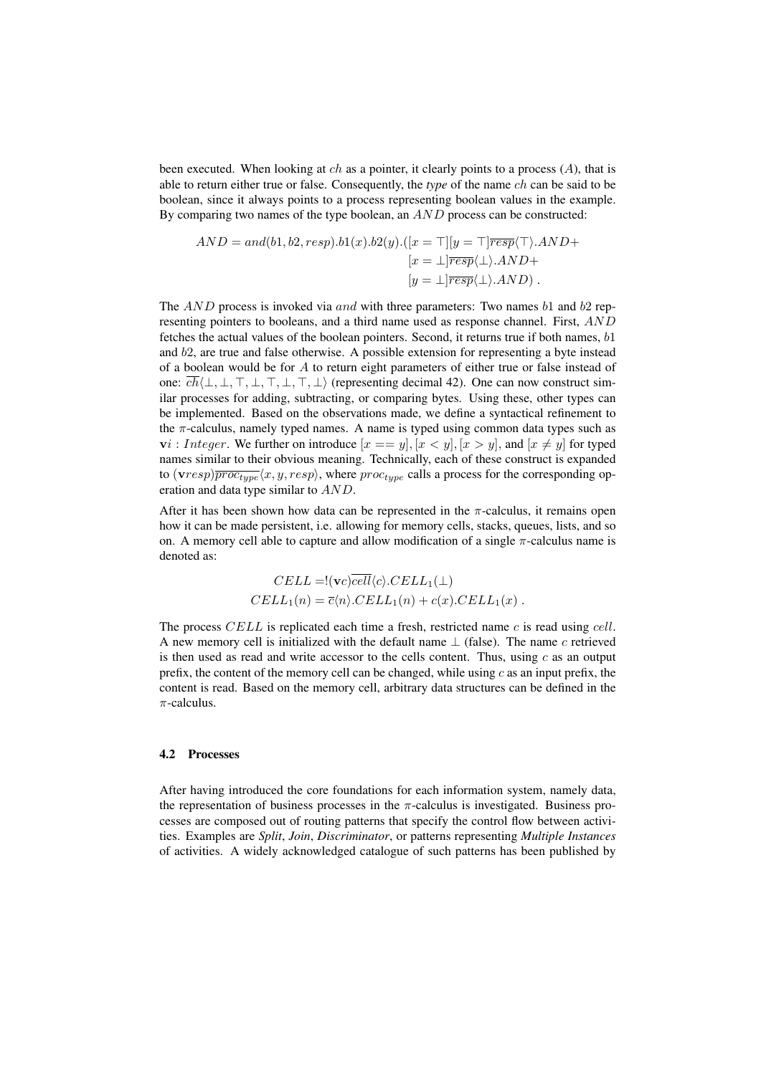been executed. When looking at  $ch$  as a pointer, it clearly points to a process  $(A)$ , that is able to return either true or false. Consequently, the *type* of the name ch can be said to be boolean, since it always points to a process representing boolean values in the example. By comparing two names of the type boolean, an  $AND$  process can be constructed:

$$
AND = and(b1, b2, resp).b1(x).b2(y).([x = \top][y = \top]\overline{resp}(\top).AND +
$$

$$
[x = \bot]\overline{resp}(\bot).AND +
$$

$$
[y = \bot]\overline{resp}(\bot).AND).
$$

The  $AND$  process is invoked via and with three parameters: Two names b1 and b2 representing pointers to booleans, and a third name used as response channel. First, AND fetches the actual values of the boolean pointers. Second, it returns true if both names,  $b1$ and b2, are true and false otherwise. A possible extension for representing a byte instead of a boolean would be for  $A$  to return eight parameters of either true or false instead of one:  $\overline{ch}(\perp, \perp, \perp, \perp, \perp, \perp, \perp, \perp)$  (representing decimal 42). One can now construct similar processes for adding, subtracting, or comparing bytes. Using these, other types can be implemented. Based on the observations made, we define a syntactical refinement to the  $\pi$ -calculus, namely typed names. A name is typed using common data types such as  $\mathbf{v}$ *i* : *Integer*. We further on introduce  $[x == y]$ ,  $[x < y]$ ,  $[x > y]$ , and  $[x \neq y]$  for typed names similar to their obvious meaning. Technically, each of these construct is expanded to  $(vresp)\overline{proc_{type}}\langle x, y, resp \rangle$ , where  $proc_{type}$  calls a process for the corresponding operation and data type similar to  $AND$ .

After it has been shown how data can be represented in the  $\pi$ -calculus, it remains open how it can be made persistent, i.e. allowing for memory cells, stacks, queues, lists, and so on. A memory cell able to capture and allow modification of a single  $\pi$ -calculus name is denoted as:

$$
CELL = !(vc) \overline{cell} \langle c \rangle .CELL_1(\bot)
$$
  

$$
CELL_1(n) = \overline{c} \langle n \rangle .CELL_1(n) + c(x).CELL_1(x) .
$$

The process  $CELL$  is replicated each time a fresh, restricted name c is read using cell. A new memory cell is initialized with the default name  $\perp$  (false). The name c retrieved is then used as read and write accessor to the cells content. Thus, using  $c$  as an output prefix, the content of the memory cell can be changed, while using  $c$  as an input prefix, the content is read. Based on the memory cell, arbitrary data structures can be defined in the  $\pi$ -calculus.

#### 4.2 Processes

After having introduced the core foundations for each information system, namely data, the representation of business processes in the  $\pi$ -calculus is investigated. Business processes are composed out of routing patterns that specify the control flow between activities. Examples are *Split*, *Join*, *Discriminator*, or patterns representing *Multiple Instances* of activities. A widely acknowledged catalogue of such patterns has been published by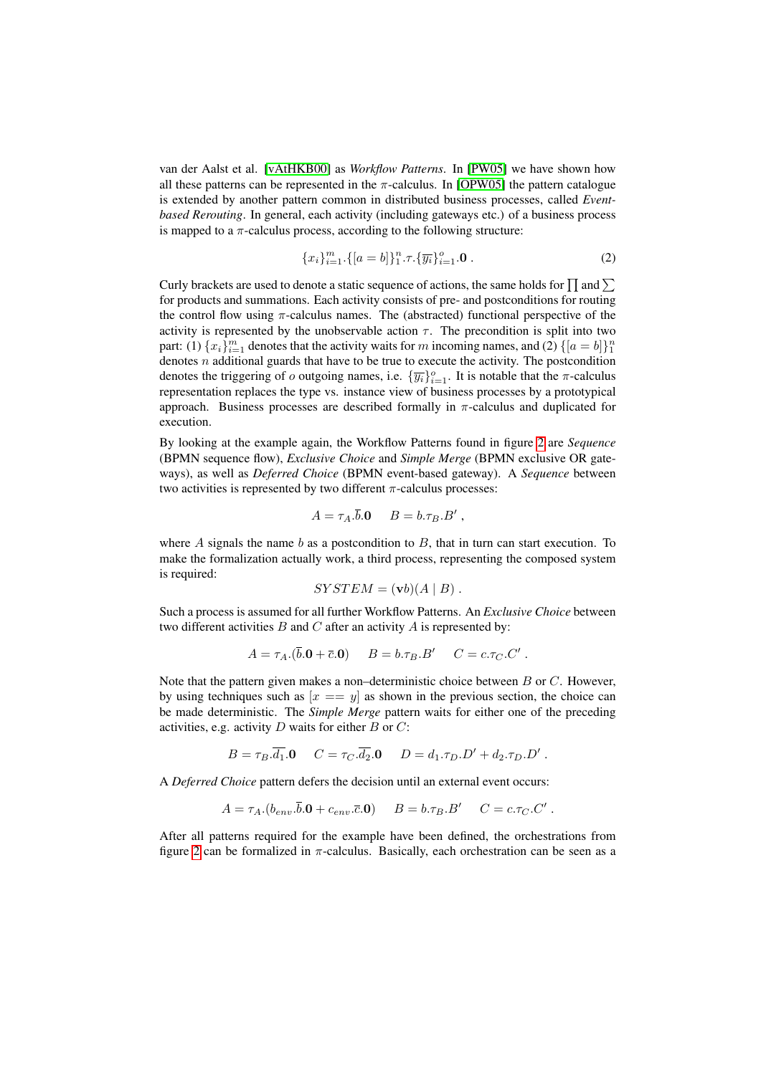van der Aalst et al. [\[vAtHKB00\]](#page-12-4) as *Workflow Patterns*. In [\[PW05\]](#page-11-8) we have shown how all these patterns can be represented in the  $\pi$ -calculus. In [\[OPW05\]](#page-11-9) the pattern catalogue is extended by another pattern common in distributed business processes, called *Eventbased Rerouting*. In general, each activity (including gateways etc.) of a business process is mapped to a  $\pi$ -calculus process, according to the following structure:

$$
\{x_i\}_{i=1}^m \cdot \{[a=b]\}_1^n \cdot \tau \cdot \{\overline{y_i}\}_{i=1}^o \cdot \mathbf{0} \ . \tag{2}
$$

Curly brackets are used to denote a static sequence of actions, the same holds for  $\prod$  and  $\sum$ for products and summations. Each activity consists of pre- and postconditions for routing the control flow using  $\pi$ -calculus names. The (abstracted) functional perspective of the activity is represented by the unobservable action  $\tau$ . The precondition is split into two part: (1)  $\{x_i\}_{i=1}^m$  denotes that the activity waits for m incoming names, and (2)  $\{[a = b]\}_1^n$ denotes *n* additional guards that have to be true to execute the activity. The postcondition denotes the triggering of o outgoing names, i.e.  $\{\overline{y_i}\}_{i=1}^o$ . It is notable that the  $\pi$ -calculus representation replaces the type vs. instance view of business processes by a prototypical approach. Business processes are described formally in  $\pi$ -calculus and duplicated for execution.

By looking at the example again, the Workflow Patterns found in figure [2](#page-1-1) are *Sequence* (BPMN sequence flow), *Exclusive Choice* and *Simple Merge* (BPMN exclusive OR gateways), as well as *Deferred Choice* (BPMN event-based gateway). A *Sequence* between two activities is represented by two different  $\pi$ -calculus processes:

$$
A = \tau_A . \overline{b} . \mathbf{0} \qquad B = b . \tau_B . B' ,
$$

where  $A$  signals the name  $b$  as a postcondition to  $B$ , that in turn can start execution. To make the formalization actually work, a third process, representing the composed system is required:

$$
SYSTEM = (\mathbf{v}b)(A \mid B).
$$

Such a process is assumed for all further Workflow Patterns. An *Exclusive Choice* between two different activities  $B$  and  $C$  after an activity  $A$  is represented by:

$$
A = \tau_A.(\bar{b}.\mathbf{0} + \bar{c}.\mathbf{0}) \qquad B = b.\tau_B.B' \qquad C = c.\tau_C.C' \; .
$$

Note that the pattern given makes a non–deterministic choice between  $B$  or  $C$ . However, by using techniques such as  $[x == y]$  as shown in the previous section, the choice can be made deterministic. The *Simple Merge* pattern waits for either one of the preceding activities, e.g. activity  $D$  waits for either  $B$  or  $C$ :

$$
B = \tau_B \cdot \overline{d_1} . \mathbf{0} \quad C = \tau_C \cdot \overline{d_2} . \mathbf{0} \quad D = d_1 \cdot \tau_D . D' + d_2 \cdot \tau_D . D' .
$$

A *Deferred Choice* pattern defers the decision until an external event occurs:

$$
A = \tau_A.(b_{env}.\overline{b}.\mathbf{0} + c_{env}.\overline{c}.\mathbf{0}) \qquad B = b.\tau_B.B' \qquad C = c.\tau_C.C'.
$$

After all patterns required for the example have been defined, the orchestrations from figure [2](#page-1-1) can be formalized in  $\pi$ -calculus. Basically, each orchestration can be seen as a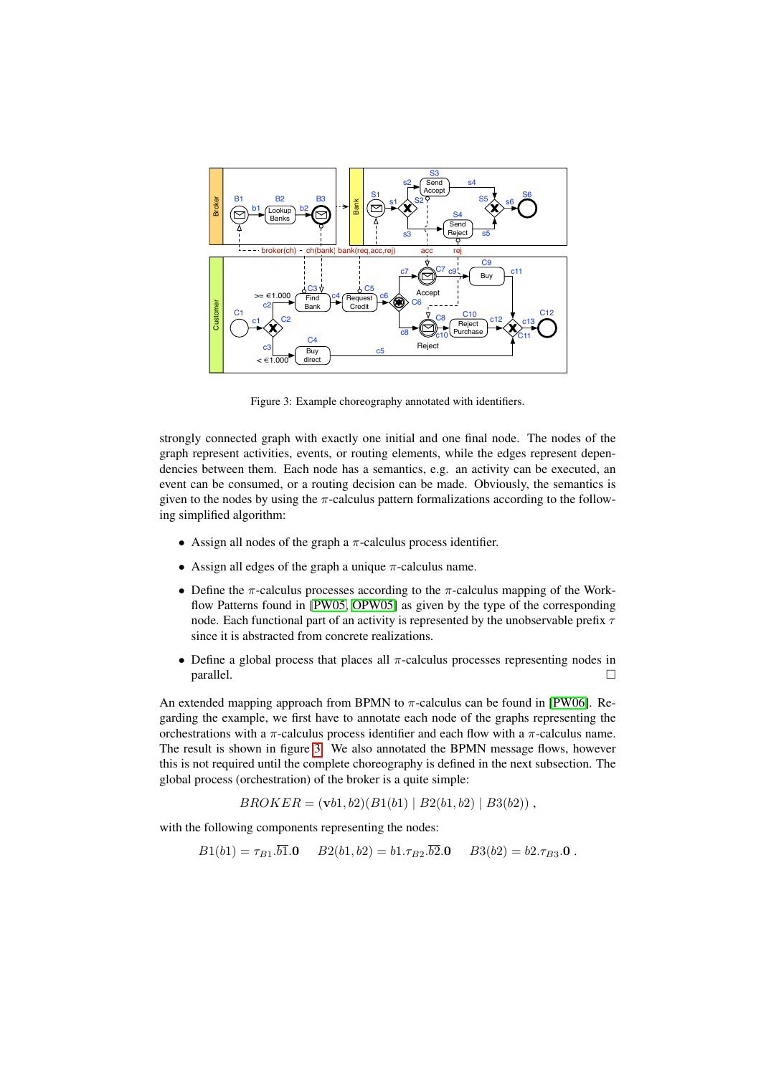

<span id="page-6-0"></span>Figure 3: Example choreography annotated with identifiers.

strongly connected graph with exactly one initial and one final node. The nodes of the graph represent activities, events, or routing elements, while the edges represent dependencies between them. Each node has a semantics, e.g. an activity can be executed, an event can be consumed, or a routing decision can be made. Obviously, the semantics is given to the nodes by using the  $\pi$ -calculus pattern formalizations according to the following simplified algorithm:

- Assign all nodes of the graph a  $\pi$ -calculus process identifier.
- Assign all edges of the graph a unique  $\pi$ -calculus name.
- Define the  $\pi$ -calculus processes according to the  $\pi$ -calculus mapping of the Workflow Patterns found in [\[PW05,](#page-11-8) [OPW05\]](#page-11-9) as given by the type of the corresponding node. Each functional part of an activity is represented by the unobservable prefix  $\tau$ since it is abstracted from concrete realizations.
- Define a global process that places all  $\pi$ -calculus processes representing nodes in  $parallel.$

An extended mapping approach from BPMN to  $\pi$ -calculus can be found in [\[PW06\]](#page-11-10). Regarding the example, we first have to annotate each node of the graphs representing the orchestrations with a  $\pi$ -calculus process identifier and each flow with a  $\pi$ -calculus name. The result is shown in figure [3.](#page-6-0) We also annotated the BPMN message flows, however this is not required until the complete choreography is defined in the next subsection. The global process (orchestration) of the broker is a quite simple:

 $BROKER = (**v**b1, b2)(B1(b1) | B2(b1, b2) | B3(b2))$ ,

with the following components representing the nodes:

$$
B1(b1) = \tau_{B1}.b1.0 \qquad B2(b1, b2) = b1.\tau_{B2}.b2.0 \qquad B3(b2) = b2.\tau_{B3}.0 \; .
$$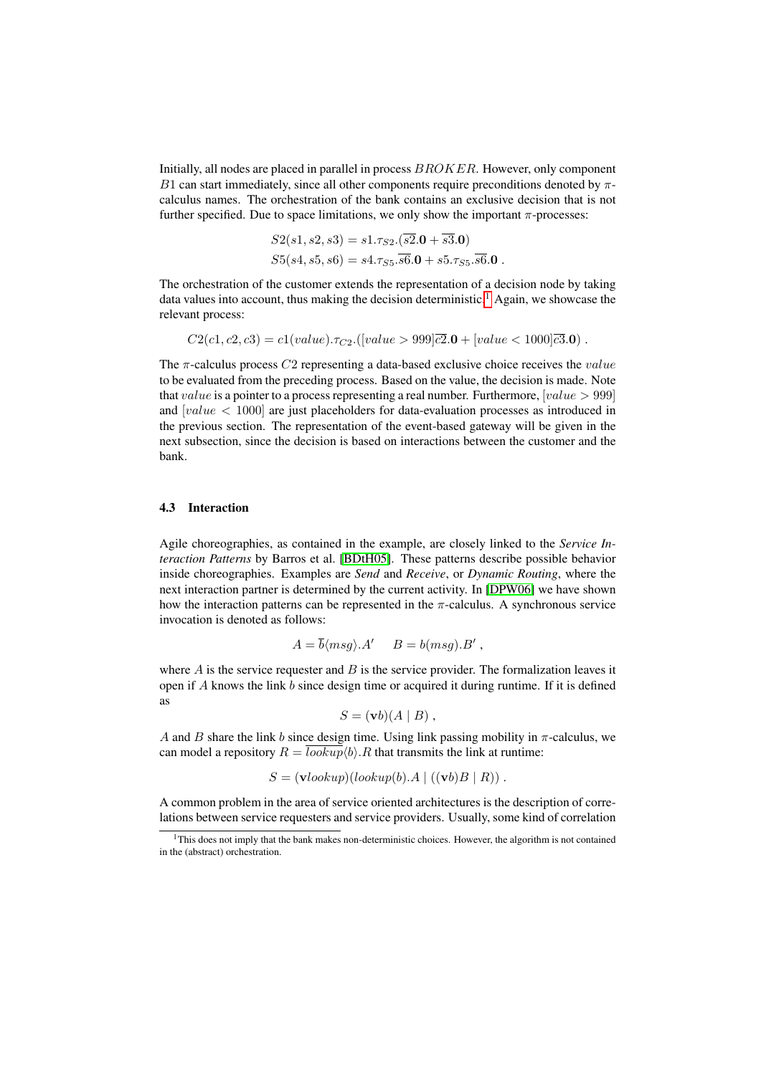Initially, all nodes are placed in parallel in process BROKER. However, only component B1 can start immediately, since all other components require preconditions denoted by  $\pi$ calculus names. The orchestration of the bank contains an exclusive decision that is not further specified. Due to space limitations, we only show the important  $\pi$ -processes:

$$
S2(s1, s2, s3) = s1.\tau_{S2}.(\overline{s2.0 + \overline{s3.0}})
$$
  

$$
S5(s4, s5, s6) = s4.\tau_{S5}.\overline{s6.0 + s5.\tau_{S5}.\overline{s6.0}}.
$$

The orchestration of the customer extends the representation of a decision node by taking data values into account, thus making the decision deterministic.<sup>[1](#page-7-0)</sup> Again, we showcase the relevant process:

$$
C2(c1, c2, c3) = c1(value). \tau_{C2}.([value > 999]\overline{c2}.0 + [value < 1000]\overline{c3}.0).
$$

The  $\pi$ -calculus process C<sub>2</sub> representing a data-based exclusive choice receives the *value* to be evaluated from the preceding process. Based on the value, the decision is made. Note that value is a pointer to a process representing a real number. Furthermore,  $[value > 999]$ and  $[value < 1000]$  are just placeholders for data-evaluation processes as introduced in the previous section. The representation of the event-based gateway will be given in the next subsection, since the decision is based on interactions between the customer and the bank.

#### 4.3 Interaction

Agile choreographies, as contained in the example, are closely linked to the *Service Interaction Patterns* by Barros et al. [\[BDtH05\]](#page-10-3). These patterns describe possible behavior inside choreographies. Examples are *Send* and *Receive*, or *Dynamic Routing*, where the next interaction partner is determined by the current activity. In [\[DPW06\]](#page-11-11) we have shown how the interaction patterns can be represented in the  $\pi$ -calculus. A synchronous service invocation is denoted as follows:

$$
A = \overline{b} \langle msg \rangle A' \quad B = b(msg).B',
$$

where  $A$  is the service requester and  $B$  is the service provider. The formalization leaves it open if  $A$  knows the link  $b$  since design time or acquired it during runtime. If it is defined as

$$
S = (\mathbf{v}b)(A \mid B) ,
$$

A and B share the link b since design time. Using link passing mobility in  $\pi$ -calculus, we can model a repository  $R = \overline{lookup} \langle b \rangle \langle R \rangle$ . That transmits the link at runtime:

$$
S = (\mathbf{v} \cdot \mathbf{v} \cdot \mathbf{v}) (\mathbf{v} \cdot \mathbf{v}) (\mathbf{v} \cdot \mathbf{v}) \cdot A \mid ((\mathbf{v} \cdot \mathbf{v}) \cdot \mathbf{v}) \cdot \mathbf{v}.
$$

A common problem in the area of service oriented architectures is the description of correlations between service requesters and service providers. Usually, some kind of correlation

<span id="page-7-0"></span><sup>&</sup>lt;sup>1</sup>This does not imply that the bank makes non-deterministic choices. However, the algorithm is not contained in the (abstract) orchestration.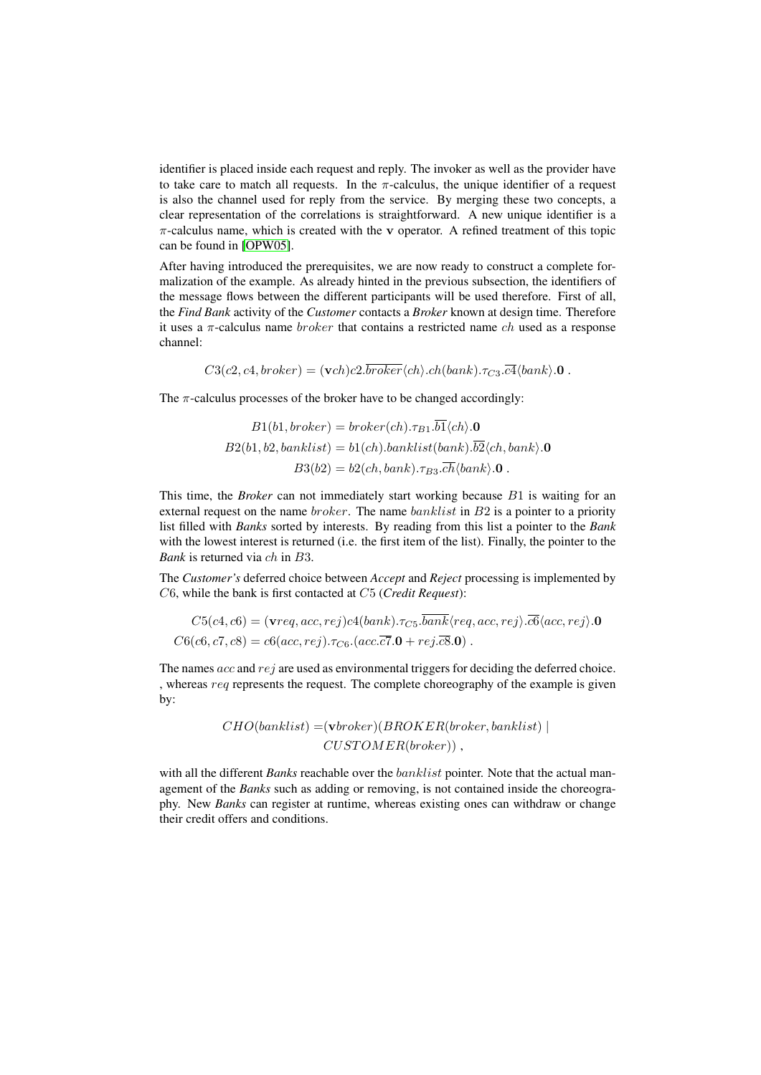identifier is placed inside each request and reply. The invoker as well as the provider have to take care to match all requests. In the  $\pi$ -calculus, the unique identifier of a request is also the channel used for reply from the service. By merging these two concepts, a clear representation of the correlations is straightforward. A new unique identifier is a  $\pi$ -calculus name, which is created with the v operator. A refined treatment of this topic can be found in [\[OPW05\]](#page-11-9).

After having introduced the prerequisites, we are now ready to construct a complete formalization of the example. As already hinted in the previous subsection, the identifiers of the message flows between the different participants will be used therefore. First of all, the *Find Bank* activity of the *Customer* contacts a *Broker* known at design time. Therefore it uses a  $\pi$ -calculus name *broker* that contains a restricted name *ch* used as a response channel:

 $C3(c2, c4, broker) = (\mathbf{v}ch)c2.\overline{broker}\langle ch \rangle.ch(bank).\tau_{C3}.\overline{c4}\langle bank \rangle.0$ .

The  $\pi$ -calculus processes of the broker have to be changed accordingly:

$$
B1(b1,broken) = broken(ch).\tau_{B1}.b1\langle ch\rangle.\mathbf{0}
$$

$$
B2(b1, b2, banklist) = b1(ch).banklist(bank).b2\langle ch, bank\rangle.\mathbf{0}
$$

$$
B3(b2) = b2(ch, bank).\tau_{B3}.\overline{ch}\langle bank\rangle.\mathbf{0}.
$$

This time, the *Broker* can not immediately start working because B1 is waiting for an external request on the name *broker*. The name *banklist* in  $B2$  is a pointer to a priority list filled with *Banks* sorted by interests. By reading from this list a pointer to the *Bank* with the lowest interest is returned (i.e. the first item of the list). Finally, the pointer to the *Bank* is returned via ch in B3.

The *Customer's* deferred choice between *Accept* and *Reject* processing is implemented by C6, while the bank is first contacted at C5 (*Credit Request*):

$$
C5(c4, c6) = (\text{vreq}, acc, rej)c4(bank). \tau_{C5}.bank \langle req, acc, rej \rangle. \overline{c6} \langle acc, rej \rangle.0
$$
  

$$
C6(c6, c7, c8) = c6(acc, rej). \tau_{C6}.(acc. \overline{c7}.0 + rej. \overline{c8}.0).
$$

The names acc and rej are used as environmental triggers for deciding the deferred choice. , whereas req represents the request. The complete choreography of the example is given by:

$$
CHO (banklist) = (\textbf{vbroker})(BROKER (broken, banklist) | \\ CUSTOMER (broken))
$$

with all the different *Banks* reachable over the banklist pointer. Note that the actual management of the *Banks* such as adding or removing, is not contained inside the choreography. New *Banks* can register at runtime, whereas existing ones can withdraw or change their credit offers and conditions.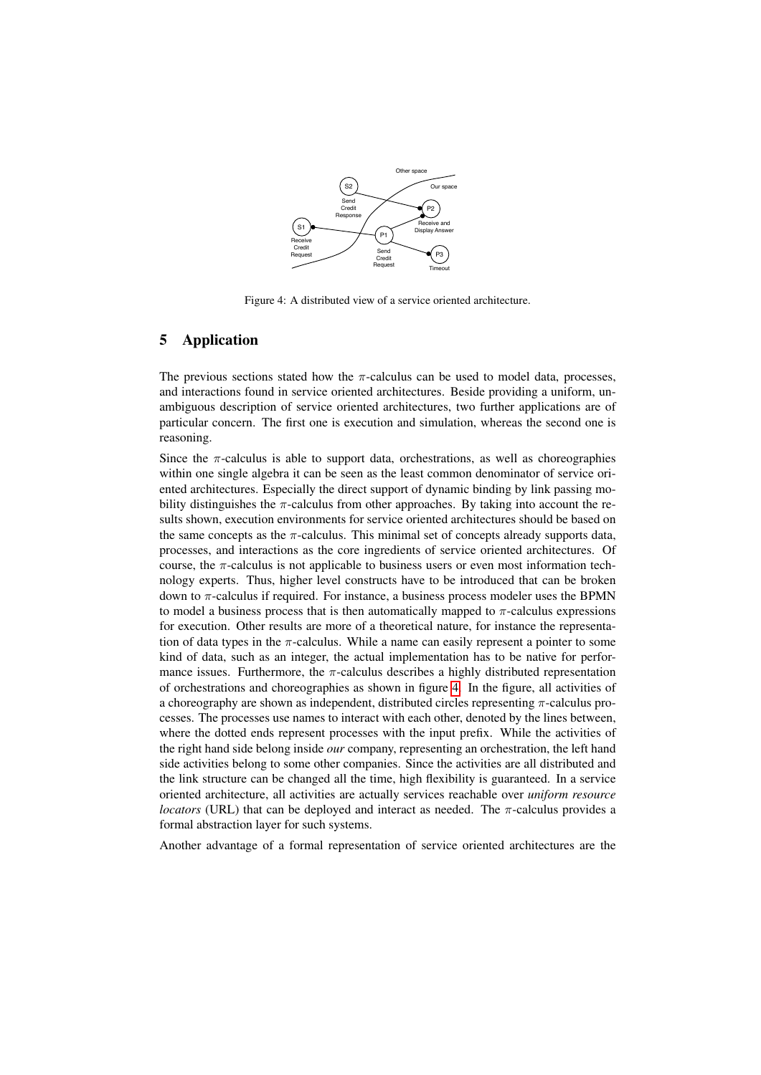

<span id="page-9-0"></span>Figure 4: A distributed view of a service oriented architecture.

## 5 Application

The previous sections stated how the  $\pi$ -calculus can be used to model data, processes, and interactions found in service oriented architectures. Beside providing a uniform, unambiguous description of service oriented architectures, two further applications are of particular concern. The first one is execution and simulation, whereas the second one is reasoning.

Since the  $\pi$ -calculus is able to support data, orchestrations, as well as choreographies within one single algebra it can be seen as the least common denominator of service oriented architectures. Especially the direct support of dynamic binding by link passing mobility distinguishes the  $\pi$ -calculus from other approaches. By taking into account the results shown, execution environments for service oriented architectures should be based on the same concepts as the  $\pi$ -calculus. This minimal set of concepts already supports data, processes, and interactions as the core ingredients of service oriented architectures. Of course, the  $\pi$ -calculus is not applicable to business users or even most information technology experts. Thus, higher level constructs have to be introduced that can be broken down to π-calculus if required. For instance, a business process modeler uses the BPMN to model a business process that is then automatically mapped to  $\pi$ -calculus expressions for execution. Other results are more of a theoretical nature, for instance the representation of data types in the  $\pi$ -calculus. While a name can easily represent a pointer to some kind of data, such as an integer, the actual implementation has to be native for performance issues. Furthermore, the  $\pi$ -calculus describes a highly distributed representation of orchestrations and choreographies as shown in figure [4.](#page-9-0) In the figure, all activities of a choreography are shown as independent, distributed circles representing π-calculus processes. The processes use names to interact with each other, denoted by the lines between, where the dotted ends represent processes with the input prefix. While the activities of the right hand side belong inside *our* company, representing an orchestration, the left hand side activities belong to some other companies. Since the activities are all distributed and the link structure can be changed all the time, high flexibility is guaranteed. In a service oriented architecture, all activities are actually services reachable over *uniform resource locators* (URL) that can be deployed and interact as needed. The  $\pi$ -calculus provides a formal abstraction layer for such systems.

Another advantage of a formal representation of service oriented architectures are the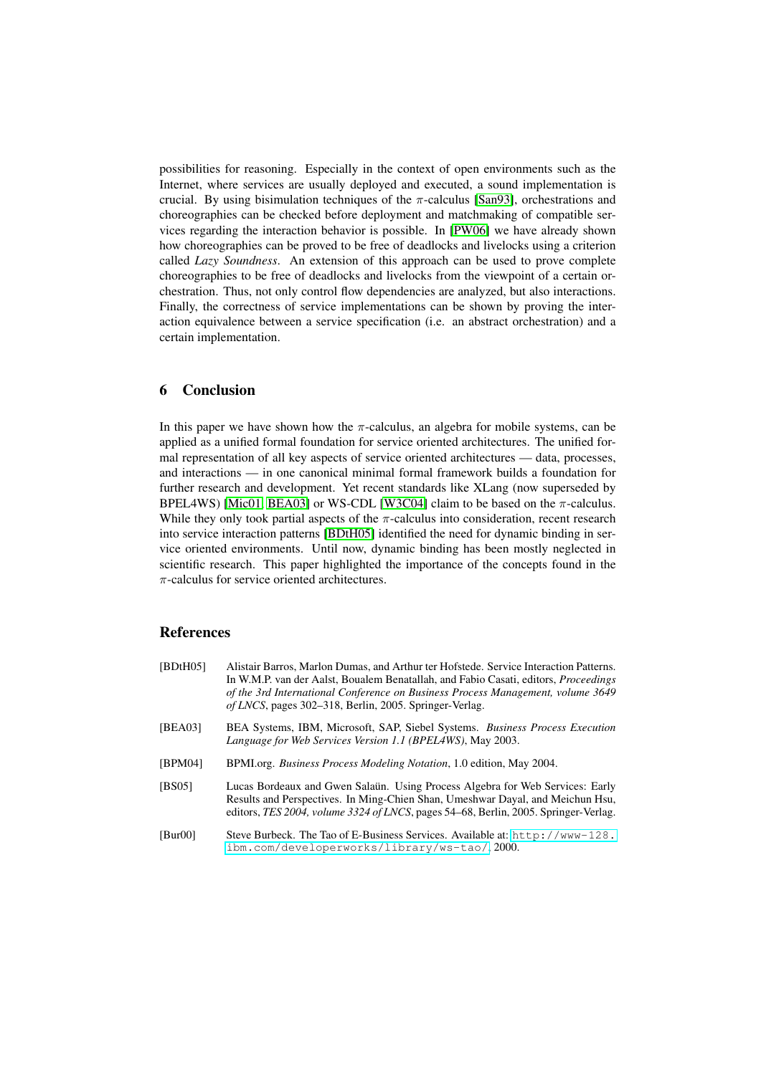possibilities for reasoning. Especially in the context of open environments such as the Internet, where services are usually deployed and executed, a sound implementation is crucial. By using bisimulation techniques of the  $\pi$ -calculus [\[San93\]](#page-11-12), orchestrations and choreographies can be checked before deployment and matchmaking of compatible services regarding the interaction behavior is possible. In [\[PW06\]](#page-11-10) we have already shown how choreographies can be proved to be free of deadlocks and livelocks using a criterion called *Lazy Soundness*. An extension of this approach can be used to prove complete choreographies to be free of deadlocks and livelocks from the viewpoint of a certain orchestration. Thus, not only control flow dependencies are analyzed, but also interactions. Finally, the correctness of service implementations can be shown by proving the interaction equivalence between a service specification (i.e. an abstract orchestration) and a certain implementation.

## 6 Conclusion

In this paper we have shown how the  $\pi$ -calculus, an algebra for mobile systems, can be applied as a unified formal foundation for service oriented architectures. The unified formal representation of all key aspects of service oriented architectures — data, processes, and interactions — in one canonical minimal formal framework builds a foundation for further research and development. Yet recent standards like XLang (now superseded by BPEL4WS) [\[Mic01,](#page-11-13) [BEA03\]](#page-10-1) or WS-CDL [\[W3C04\]](#page-12-0) claim to be based on the  $\pi$ -calculus. While they only took partial aspects of the  $\pi$ -calculus into consideration, recent research into service interaction patterns [\[BDtH05\]](#page-10-3) identified the need for dynamic binding in service oriented environments. Until now, dynamic binding has been mostly neglected in scientific research. This paper highlighted the importance of the concepts found in the  $\pi$ -calculus for service oriented architectures.

## References

<span id="page-10-4"></span><span id="page-10-3"></span><span id="page-10-2"></span><span id="page-10-1"></span><span id="page-10-0"></span>[BDtH05] Alistair Barros, Marlon Dumas, and Arthur ter Hofstede. Service Interaction Patterns. In W.M.P. van der Aalst, Boualem Benatallah, and Fabio Casati, editors, *Proceedings of the 3rd International Conference on Business Process Management, volume 3649 of LNCS*, pages 302–318, Berlin, 2005. Springer-Verlag. [BEA03] BEA Systems, IBM, Microsoft, SAP, Siebel Systems. *Business Process Execution Language for Web Services Version 1.1 (BPEL4WS)*, May 2003. [BPM04] BPMI.org. *Business Process Modeling Notation*, 1.0 edition, May 2004. [BS05] Lucas Bordeaux and Gwen Salaün. Using Process Algebra for Web Services: Early Results and Perspectives. In Ming-Chien Shan, Umeshwar Dayal, and Meichun Hsu, editors, *TES 2004, volume 3324 of LNCS*, pages 54–68, Berlin, 2005. Springer-Verlag. [Bur00] Steve Burbeck. The Tao of E-Business Services. Available at: [http://www-128.](http://www-128.ibm.com/developerworks/library/ws-tao/) [ibm.com/developerworks/library/ws-tao/](http://www-128.ibm.com/developerworks/library/ws-tao/), 2000.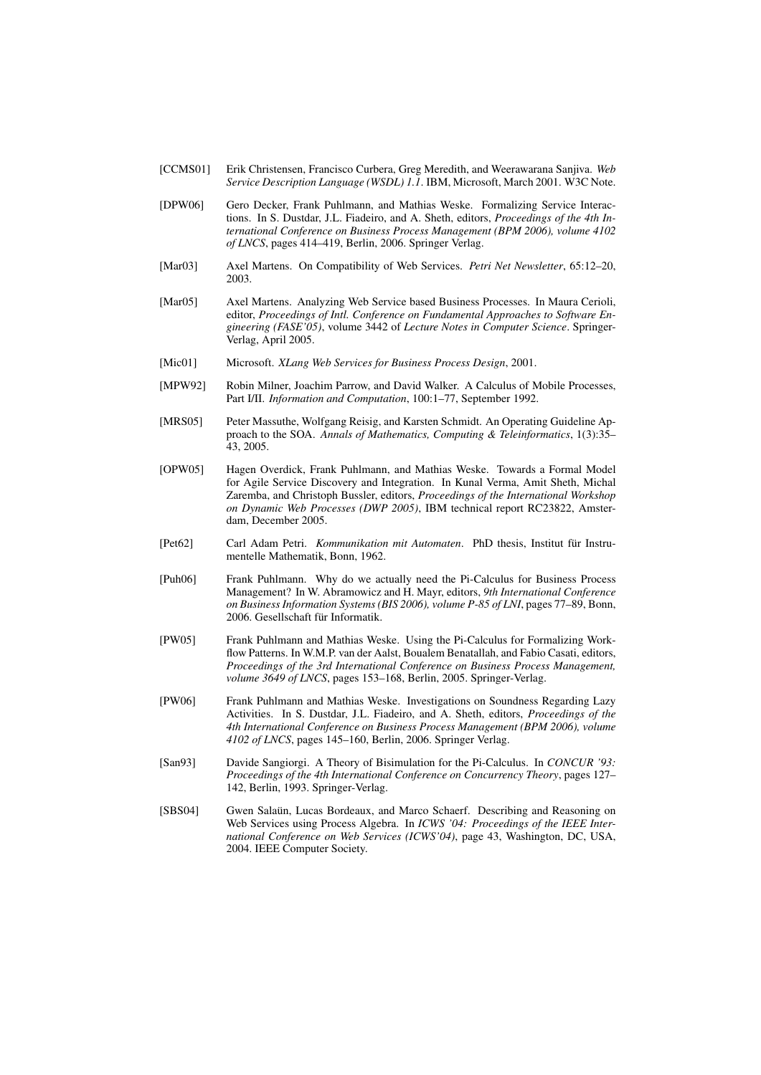- <span id="page-11-0"></span>[CCMS01] Erik Christensen, Francisco Curbera, Greg Meredith, and Weerawarana Sanjiva. *Web Service Description Language (WSDL) 1.1*. IBM, Microsoft, March 2001. W3C Note.
- <span id="page-11-11"></span>[DPW06] Gero Decker, Frank Puhlmann, and Mathias Weske. Formalizing Service Interactions. In S. Dustdar, J.L. Fiadeiro, and A. Sheth, editors, *Proceedings of the 4th International Conference on Business Process Management (BPM 2006), volume 4102 of LNCS*, pages 414–419, Berlin, 2006. Springer Verlag.
- <span id="page-11-5"></span>[Mar03] Axel Martens. On Compatibility of Web Services. *Petri Net Newsletter*, 65:12–20, 2003.
- <span id="page-11-1"></span>[Mar05] Axel Martens. Analyzing Web Service based Business Processes. In Maura Cerioli, editor, *Proceedings of Intl. Conference on Fundamental Approaches to Software Engineering (FASE'05)*, volume 3442 of *Lecture Notes in Computer Science*. Springer-Verlag, April 2005.
- <span id="page-11-13"></span>[Mic01] Microsoft. *XLang Web Services for Business Process Design*, 2001.
- <span id="page-11-3"></span>[MPW92] Robin Milner, Joachim Parrow, and David Walker. A Calculus of Mobile Processes, Part I/II. *Information and Computation*, 100:1–77, September 1992.
- <span id="page-11-6"></span>[MRS05] Peter Massuthe, Wolfgang Reisig, and Karsten Schmidt. An Operating Guideline Approach to the SOA. *Annals of Mathematics, Computing & Teleinformatics*, 1(3):35– 43, 2005.
- <span id="page-11-9"></span>[OPW05] Hagen Overdick, Frank Puhlmann, and Mathias Weske. Towards a Formal Model for Agile Service Discovery and Integration. In Kunal Verma, Amit Sheth, Michal Zaremba, and Christoph Bussler, editors, *Proceedings of the International Workshop on Dynamic Web Processes (DWP 2005)*, IBM technical report RC23822, Amsterdam, December 2005.
- <span id="page-11-4"></span>[Pet62] Carl Adam Petri. *Kommunikation mit Automaten*. PhD thesis, Institut fur Instru- ¨ mentelle Mathematik, Bonn, 1962.
- <span id="page-11-7"></span>[Puh06] Frank Puhlmann. Why do we actually need the Pi-Calculus for Business Process Management? In W. Abramowicz and H. Mayr, editors, *9th International Conference on Business Information Systems (BIS 2006), volume P-85 of LNI*, pages 77–89, Bonn, 2006. Gesellschaft für Informatik.
- <span id="page-11-8"></span>[PW05] Frank Puhlmann and Mathias Weske. Using the Pi-Calculus for Formalizing Workflow Patterns. In W.M.P. van der Aalst, Boualem Benatallah, and Fabio Casati, editors, *Proceedings of the 3rd International Conference on Business Process Management, volume 3649 of LNCS*, pages 153–168, Berlin, 2005. Springer-Verlag.
- <span id="page-11-10"></span>[PW06] Frank Puhlmann and Mathias Weske. Investigations on Soundness Regarding Lazy Activities. In S. Dustdar, J.L. Fiadeiro, and A. Sheth, editors, *Proceedings of the 4th International Conference on Business Process Management (BPM 2006), volume 4102 of LNCS*, pages 145–160, Berlin, 2006. Springer Verlag.
- <span id="page-11-12"></span>[San93] Davide Sangiorgi. A Theory of Bisimulation for the Pi-Calculus. In *CONCUR '93: Proceedings of the 4th International Conference on Concurrency Theory*, pages 127– 142, Berlin, 1993. Springer-Verlag.
- <span id="page-11-2"></span>[SBS04] Gwen Salaün, Lucas Bordeaux, and Marco Schaerf. Describing and Reasoning on Web Services using Process Algebra. In *ICWS '04: Proceedings of the IEEE International Conference on Web Services (ICWS'04)*, page 43, Washington, DC, USA, 2004. IEEE Computer Society.